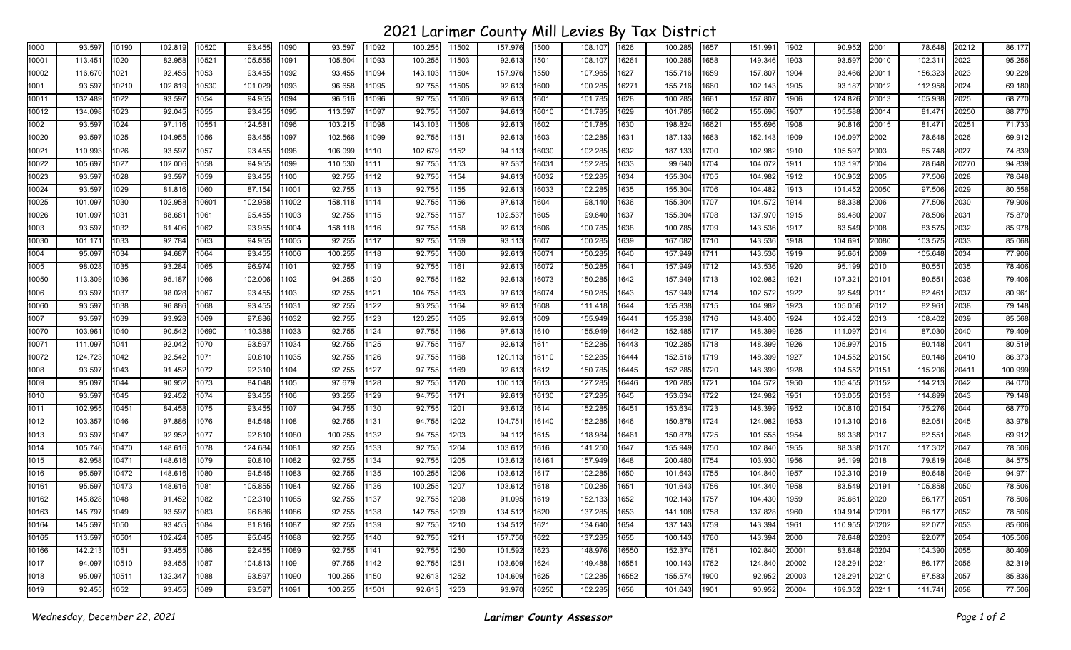## 2021 Larimer County Mill Levies By Tax District

| 10001<br>113.45<br>1020<br>82.958<br>105.555<br>105.604<br>100.255<br>92.613<br>108.107<br>100.285<br>1658<br>10521<br>1091<br>11093<br>1503<br>1501<br>16261<br>149.346<br>903<br>116.670<br>92.455<br>93.455<br>107.965<br>155.716<br>1659<br>157.807<br>10002<br>1021<br>1053<br>1092<br>93.455<br>11094<br>143.103<br>1504<br>157.976<br>1550<br>1627<br>904<br>1001<br>93.597<br>10210<br>102.819<br>10530<br>101.029<br>1093<br>96.658<br>92.755<br>1505<br>100.285<br>16271<br>155.716<br>102.143<br>11095<br>92.613<br>1600<br>1660<br>905<br>132.489<br>1022<br>94.955<br>1094<br>96.516<br>101.785<br>100.285<br>10011<br>93.597<br>1054<br>11096<br>92.755<br>1506<br>92.613<br>1601<br>1628<br>1661<br>157.807<br>1906<br>134.098<br>1023<br>92.045<br>93.455<br>113.597<br>92.755<br>101.785<br>1662<br>10012<br>1055<br>1095<br>11097<br>11507<br>94.613<br>16010<br>1629<br>101.785<br>155.696<br>907<br>93.597<br>1024<br>97.116<br>10551<br>124.581<br>103.215<br>11098<br>143.103<br>92.613<br>101.785<br>198.824<br>16621<br>155.696<br>1002<br>1096<br>1508<br>1602<br>1630<br>1908<br>10020<br>93.597<br>1025<br>93.455<br>102.566<br>11099<br>92.755<br>102.285<br>187.133<br>1663<br>152.143<br>909<br>104.955<br>1056<br>1097<br>1151<br>92.613<br>1603<br>1631<br>10021<br>110.993<br>1026<br>93.597<br>1057<br>93.455<br>1098<br>106.099<br>1110<br>102.679<br>1152<br>16030<br>102.285<br>187.133<br>1700<br>102.982<br>94.113<br>1632<br>1910<br>110.530<br>97.53<br>152.285<br>10022<br>105.697<br>1027<br>102.006<br>1058<br>94.955<br>1099<br>97.755<br>153<br>16031<br>1633<br>99.640<br>1704<br>104.072<br>1111<br>1911<br>152.285<br>10023<br>93.597<br>1028<br>93.597<br>1059<br>93.455<br>1100<br>92.755<br>1112<br>92.755<br>154<br>94.613<br>16032<br>1634<br>155.304<br>1705<br>104.982<br>1912<br>10024<br>87.154<br>92.755<br>92.755<br>102.285<br>155.304<br>93.597<br>1029<br>81.816<br>1060<br>11001<br>1113<br>155<br>92.613<br>16033<br>1635<br>1706<br>104.482<br>1913<br>10025<br>101.097<br>1030<br>102.958<br>10601<br>102.958<br>11002<br>158.118<br>1114<br>92.755<br>1156<br>97.613<br>1604<br>98.140<br>1636<br>155.304<br>1707<br>104.572<br>1914<br>95.455<br>92.755<br>92.755<br>155.304<br>1708<br>10026<br>101.097<br>1031<br>88.681<br>1061<br>11003<br>1115<br>157<br>102.537<br>1605<br>99.640<br>1637<br>137.970<br>915<br>1003<br>93.597<br>1032<br>81.406<br>1062<br>93.955<br>11004<br>158.118<br>97.755<br>1158<br>92.613<br>100.785<br>100.785<br>1709<br>143.536<br>1917<br>1116<br>1606<br>1638<br>10030<br>92.784<br>94.955<br>92.755<br>92.755<br>1159<br>100.285<br>167.082<br>1710<br>143.536<br>101.171<br>1033<br>1063<br>11005<br>1117<br>93.113<br>1607<br>1639<br>1918<br>1004<br>94.687<br>93.455<br>100.255<br>92.613<br>150.285<br>157.949<br>1711<br>143.536<br>95.097<br>1034<br>1064<br>11006<br>1118<br>92.755<br>160<br>16071<br>1640<br>1919<br>1005<br>98.028<br>93.284<br>96.974<br>92.755<br>92.755<br>92.613<br>150.285<br>157.949<br>1712<br>143.536<br>1035<br>1065<br>1101<br>1119<br>161<br>16072<br>1641<br>920<br>10050<br>113.309<br>95.187<br>1066<br>102.006<br>1102<br>94.255<br>1120<br>92.755<br>162<br>92.613<br>150.285<br>1642<br>157.949<br>1713<br>102.982<br>921<br>1036<br>16073<br>1006<br>93.597<br>98.028<br>93.455<br>1103<br>92.755<br>104.755<br>97.613<br>16074<br>150.285<br>157.949<br>1714<br>102.572<br>922<br>1037<br>1067<br>1121<br>1163<br>1643<br>10060<br>93.597<br>96.886<br>93.455<br>11031<br>92.755<br>1122<br>93.255<br>92.613<br>111.418<br>155.838<br>1715<br>104.982<br>923<br>1038<br>1068<br>1164<br>1608<br>1644<br>93.597<br>97.886<br>11032<br>92.755<br>120.255<br>155.949<br>155.838<br>1716<br>1007<br>1039<br>93.928<br>1069<br>1123<br>1165<br>92.613<br>1609<br>16441<br>148.400<br>924<br>90.542<br>92.755<br>97.755<br>155.949<br>152.485<br>1717<br>10070<br>103.961<br>1040<br>10690<br>110.388<br>11033<br>1124<br>1166<br>97.613<br>1610<br>16442<br>148.399<br>925<br>111.097<br>92.042<br>93.597<br>11034<br>92.755<br>97.755<br>152.285<br>16443<br>102.285<br>1718<br>148.399<br>10071<br>1041<br>1070<br>1125<br>1167<br>92.613<br>1611<br>926<br>124.723<br>92.755<br>152.285<br>152.516<br>104.552<br>10072<br>1042<br>92.542<br>1071<br>90.810<br>11035<br>1126<br>97.755<br>1168<br>120.113<br>16444<br>1719<br>148.399<br>927<br>16110<br>93.597<br>1104<br>92.755<br>150.785<br>1720<br>104.552<br>1008<br>1043<br>91.452<br>1072<br>92.310<br>1127<br>97.755<br>169<br>92.613<br>1612<br>16445<br>152.285<br>148.399<br>928<br>95.097<br>97.679<br>92.755<br>127.285<br>1009<br>1044<br>90.952<br>1073<br>84.048<br>1105<br>1128<br>1170<br>100.113<br>16446<br>120.285<br>1721<br>104.572<br>1950<br>105.455<br>1613<br>93.455<br>93.255<br>127.285<br>1722<br>1010<br>93.597<br>1045<br>92.452<br>1074<br>1106<br>1129<br>94.755<br>1171<br>92.613<br>16130<br>1645<br>153.634<br>124.982<br>951<br>102.955<br>10451<br>84.458<br>1075<br>93.455<br>1107<br>94.755<br>1130<br>92.755<br>93.612<br>152.285<br>153.634<br>1723<br>148.399<br>952<br>1011<br>1201<br>1614<br>16451<br>103.357<br>84.548<br>1108<br>92.755<br>1131<br>94.755<br>152.285<br>150.878<br>1724<br>1012<br>1046<br>97.886<br>1076<br>1202<br>104.751<br>16140<br>1646<br>124.982<br>953<br>1013<br>93.597<br>1047<br>92.952<br>1077<br>92.810<br>11080<br>100.255<br>1132<br>94.755<br>1203<br>94.112<br>1615<br>118.984<br>150.878<br>1725<br>101.555<br>954<br>16461<br>105.746<br>10470<br>124.684<br>92.755<br>1133<br>92.755<br>141.250<br>155.949<br>1750<br>102.840<br>1014<br>148.616<br>1078<br>11081<br>1204<br>103.612<br>1616<br>1647<br>955<br>82.958<br>10471<br>148.616<br>90.810<br>11082<br>92.755<br>1134<br>92.755<br>1205<br>103.612<br>157.949<br>200.480<br>1754<br>103.930<br>956<br>1015<br>1079<br>16161<br>1648<br>95.597<br>10472<br>148.616<br>94.545<br>11083<br>92.755<br>1135<br>100.255<br>102.285<br>1755<br>957<br>1016<br>1080<br>1206<br>103.612<br>1617<br>1650<br>101.643<br>104.840<br>95.597<br>10473<br>11084<br>92.755<br>100.255<br>1207<br>100.285<br>1756<br>958<br>10161<br>148.616<br>1081<br>105.855<br>1136<br>103.612<br>1651<br>101.643<br>104.340<br>1618<br>102.310<br>11085<br>92.755<br>92.755<br>152.133<br>1757<br>959<br>10162<br>145.828<br>1048<br>91.452<br>1082<br>1137<br>1208<br>91.095<br>1619<br>1652<br>102.143<br>104.430<br>93.597<br>92.755<br>142.755<br>137.285<br>145.797<br>1049<br>1083<br>96.886<br>11086<br>1138<br>1209<br>134.512<br>1620<br>1653<br>141.108<br>1758<br>137.828<br>960<br>10163<br>134.640<br>145.597<br>93.455<br>81.816<br>11087<br>92.755<br>1139<br>92.755<br>134.512<br>1654<br>137.143<br>1759<br>143.394<br>10164<br>1050<br>1084<br>1210<br>1621<br>1961<br>113.597<br>102.424<br>1085<br>92.755<br>92.755<br>1211<br>157.750<br>1622<br>137.285<br>100.143<br>1760<br>143.394<br>2000<br>10165<br>10501<br>95.045<br>11088<br>1140<br>1655<br>152.374<br>10166<br>142.213<br>1051<br>93.455<br>1086<br>92.455<br>11089<br>92.755<br>1141<br>92.755<br>1250<br>101.592<br>1623<br>148.976<br>16550<br>1761<br>102.840<br>20001<br>97.755<br>1017<br>94.097<br>93.455<br>1087<br>104.813<br>1109<br>1142<br>92.755<br>251<br>103.609<br>1624<br>149.488<br>100.143<br>1762<br>124.840<br>20002<br>10510<br>16551<br>95.097<br>132.347<br>93.597<br>100.255<br>1252<br>104.609<br>1625<br>102.285<br>155.574<br>1900<br>92.952<br>20003<br>1018<br>10511<br>1088<br>11090<br>1150<br>92.613<br>16552<br>92.455<br>1052<br>93.455<br>93.597<br>100.255<br>92.613<br>1253<br>93.970<br>16250<br>102.285<br>101.643<br>90.952<br>20004<br>1019<br>1089<br>11091<br>11501<br>1656<br>1901 | 1000 | 93.597 | 10190 | 102.819 | 10520 | 93.455 | 1090 | 93.597 | 11092 | 100.255 | 11502 | 157.976 | 1500 | 108.107 | 1626 | 100.285 | 1657 | 151.991 | 1902 | 90.952  | 2001           | 78.648             | 20212         | 86.177            |
|------------------------------------------------------------------------------------------------------------------------------------------------------------------------------------------------------------------------------------------------------------------------------------------------------------------------------------------------------------------------------------------------------------------------------------------------------------------------------------------------------------------------------------------------------------------------------------------------------------------------------------------------------------------------------------------------------------------------------------------------------------------------------------------------------------------------------------------------------------------------------------------------------------------------------------------------------------------------------------------------------------------------------------------------------------------------------------------------------------------------------------------------------------------------------------------------------------------------------------------------------------------------------------------------------------------------------------------------------------------------------------------------------------------------------------------------------------------------------------------------------------------------------------------------------------------------------------------------------------------------------------------------------------------------------------------------------------------------------------------------------------------------------------------------------------------------------------------------------------------------------------------------------------------------------------------------------------------------------------------------------------------------------------------------------------------------------------------------------------------------------------------------------------------------------------------------------------------------------------------------------------------------------------------------------------------------------------------------------------------------------------------------------------------------------------------------------------------------------------------------------------------------------------------------------------------------------------------------------------------------------------------------------------------------------------------------------------------------------------------------------------------------------------------------------------------------------------------------------------------------------------------------------------------------------------------------------------------------------------------------------------------------------------------------------------------------------------------------------------------------------------------------------------------------------------------------------------------------------------------------------------------------------------------------------------------------------------------------------------------------------------------------------------------------------------------------------------------------------------------------------------------------------------------------------------------------------------------------------------------------------------------------------------------------------------------------------------------------------------------------------------------------------------------------------------------------------------------------------------------------------------------------------------------------------------------------------------------------------------------------------------------------------------------------------------------------------------------------------------------------------------------------------------------------------------------------------------------------------------------------------------------------------------------------------------------------------------------------------------------------------------------------------------------------------------------------------------------------------------------------------------------------------------------------------------------------------------------------------------------------------------------------------------------------------------------------------------------------------------------------------------------------------------------------------------------------------------------------------------------------------------------------------------------------------------------------------------------------------------------------------------------------------------------------------------------------------------------------------------------------------------------------------------------------------------------------------------------------------------------------------------------------------------------------------------------------------------------------------------------------------------------------------------------------------------------------------------------------------------------------------------------------------------------------------------------------------------------------------------------------------------------------------------------------------------------------------------------------------------------------------------------------------------------------------------------------------------------------------------------------------------------------------------------------------------------------------------------------------------------------------------------------------------------------------------------------------------------------------------------------------------------------------------------------------------------------------------------------------------------------------------------------------------------------------------------------------------------------------------------------------------------------------------------------------------------------------------------------------------------------------------------------------------------------------------------------------------------------------------------------------------------------------------------------------------------------------------------------------------------------------------------------------------------------------------------------------------------------------------------------------------------------------------------------------------------------------------------------------------------------------------------------------------------------------------------------------------------------------------------------------------------------------------------------------------------------------------------------------------------------------------------------------------------------------------------------------------------------------------------------------------------------------------------------------------------------------------------------------------------------------------------------------------------------------------------------------------------------------------------------------------------------------------------------------------------------------------------------------------------|------|--------|-------|---------|-------|--------|------|--------|-------|---------|-------|---------|------|---------|------|---------|------|---------|------|---------|----------------|--------------------|---------------|-------------------|
|                                                                                                                                                                                                                                                                                                                                                                                                                                                                                                                                                                                                                                                                                                                                                                                                                                                                                                                                                                                                                                                                                                                                                                                                                                                                                                                                                                                                                                                                                                                                                                                                                                                                                                                                                                                                                                                                                                                                                                                                                                                                                                                                                                                                                                                                                                                                                                                                                                                                                                                                                                                                                                                                                                                                                                                                                                                                                                                                                                                                                                                                                                                                                                                                                                                                                                                                                                                                                                                                                                                                                                                                                                                                                                                                                                                                                                                                                                                                                                                                                                                                                                                                                                                                                                                                                                                                                                                                                                                                                                                                                                                                                                                                                                                                                                                                                                                                                                                                                                                                                                                                                                                                                                                                                                                                                                                                                                                                                                                                                                                                                                                                                                                                                                                                                                                                                                                                                                                                                                                                                                                                                                                                                                                                                                                                                                                                                                                                                                                                                                                                                                                                                                                                                                                                                                                                                                                                                                                                                                                                                                                                                                                                                                                                                                                                                                                                                                                                                                                                                                                                                                                                                                                                                                                                          |      |        |       |         |       |        |      |        |       |         |       |         |      |         |      |         |      |         |      | 93.597  | 20010          | 102.31             | 2022          | 95.256            |
|                                                                                                                                                                                                                                                                                                                                                                                                                                                                                                                                                                                                                                                                                                                                                                                                                                                                                                                                                                                                                                                                                                                                                                                                                                                                                                                                                                                                                                                                                                                                                                                                                                                                                                                                                                                                                                                                                                                                                                                                                                                                                                                                                                                                                                                                                                                                                                                                                                                                                                                                                                                                                                                                                                                                                                                                                                                                                                                                                                                                                                                                                                                                                                                                                                                                                                                                                                                                                                                                                                                                                                                                                                                                                                                                                                                                                                                                                                                                                                                                                                                                                                                                                                                                                                                                                                                                                                                                                                                                                                                                                                                                                                                                                                                                                                                                                                                                                                                                                                                                                                                                                                                                                                                                                                                                                                                                                                                                                                                                                                                                                                                                                                                                                                                                                                                                                                                                                                                                                                                                                                                                                                                                                                                                                                                                                                                                                                                                                                                                                                                                                                                                                                                                                                                                                                                                                                                                                                                                                                                                                                                                                                                                                                                                                                                                                                                                                                                                                                                                                                                                                                                                                                                                                                                                          |      |        |       |         |       |        |      |        |       |         |       |         |      |         |      |         |      |         |      | 93.466  | 20011          | 156.323            | 2023          | 90.228            |
|                                                                                                                                                                                                                                                                                                                                                                                                                                                                                                                                                                                                                                                                                                                                                                                                                                                                                                                                                                                                                                                                                                                                                                                                                                                                                                                                                                                                                                                                                                                                                                                                                                                                                                                                                                                                                                                                                                                                                                                                                                                                                                                                                                                                                                                                                                                                                                                                                                                                                                                                                                                                                                                                                                                                                                                                                                                                                                                                                                                                                                                                                                                                                                                                                                                                                                                                                                                                                                                                                                                                                                                                                                                                                                                                                                                                                                                                                                                                                                                                                                                                                                                                                                                                                                                                                                                                                                                                                                                                                                                                                                                                                                                                                                                                                                                                                                                                                                                                                                                                                                                                                                                                                                                                                                                                                                                                                                                                                                                                                                                                                                                                                                                                                                                                                                                                                                                                                                                                                                                                                                                                                                                                                                                                                                                                                                                                                                                                                                                                                                                                                                                                                                                                                                                                                                                                                                                                                                                                                                                                                                                                                                                                                                                                                                                                                                                                                                                                                                                                                                                                                                                                                                                                                                                                          |      |        |       |         |       |        |      |        |       |         |       |         |      |         |      |         |      |         |      | 93.187  | 20012          | 112.958            | 2024          | 69.180            |
|                                                                                                                                                                                                                                                                                                                                                                                                                                                                                                                                                                                                                                                                                                                                                                                                                                                                                                                                                                                                                                                                                                                                                                                                                                                                                                                                                                                                                                                                                                                                                                                                                                                                                                                                                                                                                                                                                                                                                                                                                                                                                                                                                                                                                                                                                                                                                                                                                                                                                                                                                                                                                                                                                                                                                                                                                                                                                                                                                                                                                                                                                                                                                                                                                                                                                                                                                                                                                                                                                                                                                                                                                                                                                                                                                                                                                                                                                                                                                                                                                                                                                                                                                                                                                                                                                                                                                                                                                                                                                                                                                                                                                                                                                                                                                                                                                                                                                                                                                                                                                                                                                                                                                                                                                                                                                                                                                                                                                                                                                                                                                                                                                                                                                                                                                                                                                                                                                                                                                                                                                                                                                                                                                                                                                                                                                                                                                                                                                                                                                                                                                                                                                                                                                                                                                                                                                                                                                                                                                                                                                                                                                                                                                                                                                                                                                                                                                                                                                                                                                                                                                                                                                                                                                                                                          |      |        |       |         |       |        |      |        |       |         |       |         |      |         |      |         |      |         |      | 124.826 | 20013          | 105.938            | 2025          | 68.770            |
|                                                                                                                                                                                                                                                                                                                                                                                                                                                                                                                                                                                                                                                                                                                                                                                                                                                                                                                                                                                                                                                                                                                                                                                                                                                                                                                                                                                                                                                                                                                                                                                                                                                                                                                                                                                                                                                                                                                                                                                                                                                                                                                                                                                                                                                                                                                                                                                                                                                                                                                                                                                                                                                                                                                                                                                                                                                                                                                                                                                                                                                                                                                                                                                                                                                                                                                                                                                                                                                                                                                                                                                                                                                                                                                                                                                                                                                                                                                                                                                                                                                                                                                                                                                                                                                                                                                                                                                                                                                                                                                                                                                                                                                                                                                                                                                                                                                                                                                                                                                                                                                                                                                                                                                                                                                                                                                                                                                                                                                                                                                                                                                                                                                                                                                                                                                                                                                                                                                                                                                                                                                                                                                                                                                                                                                                                                                                                                                                                                                                                                                                                                                                                                                                                                                                                                                                                                                                                                                                                                                                                                                                                                                                                                                                                                                                                                                                                                                                                                                                                                                                                                                                                                                                                                                                          |      |        |       |         |       |        |      |        |       |         |       |         |      |         |      |         |      |         |      | 105.588 | 20014          | 81.47'             | 20250         | 88.770            |
|                                                                                                                                                                                                                                                                                                                                                                                                                                                                                                                                                                                                                                                                                                                                                                                                                                                                                                                                                                                                                                                                                                                                                                                                                                                                                                                                                                                                                                                                                                                                                                                                                                                                                                                                                                                                                                                                                                                                                                                                                                                                                                                                                                                                                                                                                                                                                                                                                                                                                                                                                                                                                                                                                                                                                                                                                                                                                                                                                                                                                                                                                                                                                                                                                                                                                                                                                                                                                                                                                                                                                                                                                                                                                                                                                                                                                                                                                                                                                                                                                                                                                                                                                                                                                                                                                                                                                                                                                                                                                                                                                                                                                                                                                                                                                                                                                                                                                                                                                                                                                                                                                                                                                                                                                                                                                                                                                                                                                                                                                                                                                                                                                                                                                                                                                                                                                                                                                                                                                                                                                                                                                                                                                                                                                                                                                                                                                                                                                                                                                                                                                                                                                                                                                                                                                                                                                                                                                                                                                                                                                                                                                                                                                                                                                                                                                                                                                                                                                                                                                                                                                                                                                                                                                                                                          |      |        |       |         |       |        |      |        |       |         |       |         |      |         |      |         |      |         |      | 90.816  | 20015          | 81.471             | 20251         | 71.733            |
|                                                                                                                                                                                                                                                                                                                                                                                                                                                                                                                                                                                                                                                                                                                                                                                                                                                                                                                                                                                                                                                                                                                                                                                                                                                                                                                                                                                                                                                                                                                                                                                                                                                                                                                                                                                                                                                                                                                                                                                                                                                                                                                                                                                                                                                                                                                                                                                                                                                                                                                                                                                                                                                                                                                                                                                                                                                                                                                                                                                                                                                                                                                                                                                                                                                                                                                                                                                                                                                                                                                                                                                                                                                                                                                                                                                                                                                                                                                                                                                                                                                                                                                                                                                                                                                                                                                                                                                                                                                                                                                                                                                                                                                                                                                                                                                                                                                                                                                                                                                                                                                                                                                                                                                                                                                                                                                                                                                                                                                                                                                                                                                                                                                                                                                                                                                                                                                                                                                                                                                                                                                                                                                                                                                                                                                                                                                                                                                                                                                                                                                                                                                                                                                                                                                                                                                                                                                                                                                                                                                                                                                                                                                                                                                                                                                                                                                                                                                                                                                                                                                                                                                                                                                                                                                                          |      |        |       |         |       |        |      |        |       |         |       |         |      |         |      |         |      |         |      | 106.097 | 2002           | 78.648             | 2026          | 69.912            |
|                                                                                                                                                                                                                                                                                                                                                                                                                                                                                                                                                                                                                                                                                                                                                                                                                                                                                                                                                                                                                                                                                                                                                                                                                                                                                                                                                                                                                                                                                                                                                                                                                                                                                                                                                                                                                                                                                                                                                                                                                                                                                                                                                                                                                                                                                                                                                                                                                                                                                                                                                                                                                                                                                                                                                                                                                                                                                                                                                                                                                                                                                                                                                                                                                                                                                                                                                                                                                                                                                                                                                                                                                                                                                                                                                                                                                                                                                                                                                                                                                                                                                                                                                                                                                                                                                                                                                                                                                                                                                                                                                                                                                                                                                                                                                                                                                                                                                                                                                                                                                                                                                                                                                                                                                                                                                                                                                                                                                                                                                                                                                                                                                                                                                                                                                                                                                                                                                                                                                                                                                                                                                                                                                                                                                                                                                                                                                                                                                                                                                                                                                                                                                                                                                                                                                                                                                                                                                                                                                                                                                                                                                                                                                                                                                                                                                                                                                                                                                                                                                                                                                                                                                                                                                                                                          |      |        |       |         |       |        |      |        |       |         |       |         |      |         |      |         |      |         |      | 105.597 | 2003           | 85.748             | 2027          | 74.839            |
|                                                                                                                                                                                                                                                                                                                                                                                                                                                                                                                                                                                                                                                                                                                                                                                                                                                                                                                                                                                                                                                                                                                                                                                                                                                                                                                                                                                                                                                                                                                                                                                                                                                                                                                                                                                                                                                                                                                                                                                                                                                                                                                                                                                                                                                                                                                                                                                                                                                                                                                                                                                                                                                                                                                                                                                                                                                                                                                                                                                                                                                                                                                                                                                                                                                                                                                                                                                                                                                                                                                                                                                                                                                                                                                                                                                                                                                                                                                                                                                                                                                                                                                                                                                                                                                                                                                                                                                                                                                                                                                                                                                                                                                                                                                                                                                                                                                                                                                                                                                                                                                                                                                                                                                                                                                                                                                                                                                                                                                                                                                                                                                                                                                                                                                                                                                                                                                                                                                                                                                                                                                                                                                                                                                                                                                                                                                                                                                                                                                                                                                                                                                                                                                                                                                                                                                                                                                                                                                                                                                                                                                                                                                                                                                                                                                                                                                                                                                                                                                                                                                                                                                                                                                                                                                                          |      |        |       |         |       |        |      |        |       |         |       |         |      |         |      |         |      |         |      | 103.197 | 2004           | 78.648             | 20270         | 94.839            |
|                                                                                                                                                                                                                                                                                                                                                                                                                                                                                                                                                                                                                                                                                                                                                                                                                                                                                                                                                                                                                                                                                                                                                                                                                                                                                                                                                                                                                                                                                                                                                                                                                                                                                                                                                                                                                                                                                                                                                                                                                                                                                                                                                                                                                                                                                                                                                                                                                                                                                                                                                                                                                                                                                                                                                                                                                                                                                                                                                                                                                                                                                                                                                                                                                                                                                                                                                                                                                                                                                                                                                                                                                                                                                                                                                                                                                                                                                                                                                                                                                                                                                                                                                                                                                                                                                                                                                                                                                                                                                                                                                                                                                                                                                                                                                                                                                                                                                                                                                                                                                                                                                                                                                                                                                                                                                                                                                                                                                                                                                                                                                                                                                                                                                                                                                                                                                                                                                                                                                                                                                                                                                                                                                                                                                                                                                                                                                                                                                                                                                                                                                                                                                                                                                                                                                                                                                                                                                                                                                                                                                                                                                                                                                                                                                                                                                                                                                                                                                                                                                                                                                                                                                                                                                                                                          |      |        |       |         |       |        |      |        |       |         |       |         |      |         |      |         |      |         |      | 100.952 | 2005           | 77.506             | 2028          | 78.648            |
|                                                                                                                                                                                                                                                                                                                                                                                                                                                                                                                                                                                                                                                                                                                                                                                                                                                                                                                                                                                                                                                                                                                                                                                                                                                                                                                                                                                                                                                                                                                                                                                                                                                                                                                                                                                                                                                                                                                                                                                                                                                                                                                                                                                                                                                                                                                                                                                                                                                                                                                                                                                                                                                                                                                                                                                                                                                                                                                                                                                                                                                                                                                                                                                                                                                                                                                                                                                                                                                                                                                                                                                                                                                                                                                                                                                                                                                                                                                                                                                                                                                                                                                                                                                                                                                                                                                                                                                                                                                                                                                                                                                                                                                                                                                                                                                                                                                                                                                                                                                                                                                                                                                                                                                                                                                                                                                                                                                                                                                                                                                                                                                                                                                                                                                                                                                                                                                                                                                                                                                                                                                                                                                                                                                                                                                                                                                                                                                                                                                                                                                                                                                                                                                                                                                                                                                                                                                                                                                                                                                                                                                                                                                                                                                                                                                                                                                                                                                                                                                                                                                                                                                                                                                                                                                                          |      |        |       |         |       |        |      |        |       |         |       |         |      |         |      |         |      |         |      | 101.452 | 20050          | 97.506             | 2029          | 80.558            |
|                                                                                                                                                                                                                                                                                                                                                                                                                                                                                                                                                                                                                                                                                                                                                                                                                                                                                                                                                                                                                                                                                                                                                                                                                                                                                                                                                                                                                                                                                                                                                                                                                                                                                                                                                                                                                                                                                                                                                                                                                                                                                                                                                                                                                                                                                                                                                                                                                                                                                                                                                                                                                                                                                                                                                                                                                                                                                                                                                                                                                                                                                                                                                                                                                                                                                                                                                                                                                                                                                                                                                                                                                                                                                                                                                                                                                                                                                                                                                                                                                                                                                                                                                                                                                                                                                                                                                                                                                                                                                                                                                                                                                                                                                                                                                                                                                                                                                                                                                                                                                                                                                                                                                                                                                                                                                                                                                                                                                                                                                                                                                                                                                                                                                                                                                                                                                                                                                                                                                                                                                                                                                                                                                                                                                                                                                                                                                                                                                                                                                                                                                                                                                                                                                                                                                                                                                                                                                                                                                                                                                                                                                                                                                                                                                                                                                                                                                                                                                                                                                                                                                                                                                                                                                                                                          |      |        |       |         |       |        |      |        |       |         |       |         |      |         |      |         |      |         |      | 88.338  | 2006           | 77.506             | 2030          | 79.906            |
|                                                                                                                                                                                                                                                                                                                                                                                                                                                                                                                                                                                                                                                                                                                                                                                                                                                                                                                                                                                                                                                                                                                                                                                                                                                                                                                                                                                                                                                                                                                                                                                                                                                                                                                                                                                                                                                                                                                                                                                                                                                                                                                                                                                                                                                                                                                                                                                                                                                                                                                                                                                                                                                                                                                                                                                                                                                                                                                                                                                                                                                                                                                                                                                                                                                                                                                                                                                                                                                                                                                                                                                                                                                                                                                                                                                                                                                                                                                                                                                                                                                                                                                                                                                                                                                                                                                                                                                                                                                                                                                                                                                                                                                                                                                                                                                                                                                                                                                                                                                                                                                                                                                                                                                                                                                                                                                                                                                                                                                                                                                                                                                                                                                                                                                                                                                                                                                                                                                                                                                                                                                                                                                                                                                                                                                                                                                                                                                                                                                                                                                                                                                                                                                                                                                                                                                                                                                                                                                                                                                                                                                                                                                                                                                                                                                                                                                                                                                                                                                                                                                                                                                                                                                                                                                                          |      |        |       |         |       |        |      |        |       |         |       |         |      |         |      |         |      |         |      | 89.480  | 2007           | 78.506             | 2031          | 75.870            |
|                                                                                                                                                                                                                                                                                                                                                                                                                                                                                                                                                                                                                                                                                                                                                                                                                                                                                                                                                                                                                                                                                                                                                                                                                                                                                                                                                                                                                                                                                                                                                                                                                                                                                                                                                                                                                                                                                                                                                                                                                                                                                                                                                                                                                                                                                                                                                                                                                                                                                                                                                                                                                                                                                                                                                                                                                                                                                                                                                                                                                                                                                                                                                                                                                                                                                                                                                                                                                                                                                                                                                                                                                                                                                                                                                                                                                                                                                                                                                                                                                                                                                                                                                                                                                                                                                                                                                                                                                                                                                                                                                                                                                                                                                                                                                                                                                                                                                                                                                                                                                                                                                                                                                                                                                                                                                                                                                                                                                                                                                                                                                                                                                                                                                                                                                                                                                                                                                                                                                                                                                                                                                                                                                                                                                                                                                                                                                                                                                                                                                                                                                                                                                                                                                                                                                                                                                                                                                                                                                                                                                                                                                                                                                                                                                                                                                                                                                                                                                                                                                                                                                                                                                                                                                                                                          |      |        |       |         |       |        |      |        |       |         |       |         |      |         |      |         |      |         |      | 83.549  | 2008           | 83.575             | 2032          | 85.978            |
|                                                                                                                                                                                                                                                                                                                                                                                                                                                                                                                                                                                                                                                                                                                                                                                                                                                                                                                                                                                                                                                                                                                                                                                                                                                                                                                                                                                                                                                                                                                                                                                                                                                                                                                                                                                                                                                                                                                                                                                                                                                                                                                                                                                                                                                                                                                                                                                                                                                                                                                                                                                                                                                                                                                                                                                                                                                                                                                                                                                                                                                                                                                                                                                                                                                                                                                                                                                                                                                                                                                                                                                                                                                                                                                                                                                                                                                                                                                                                                                                                                                                                                                                                                                                                                                                                                                                                                                                                                                                                                                                                                                                                                                                                                                                                                                                                                                                                                                                                                                                                                                                                                                                                                                                                                                                                                                                                                                                                                                                                                                                                                                                                                                                                                                                                                                                                                                                                                                                                                                                                                                                                                                                                                                                                                                                                                                                                                                                                                                                                                                                                                                                                                                                                                                                                                                                                                                                                                                                                                                                                                                                                                                                                                                                                                                                                                                                                                                                                                                                                                                                                                                                                                                                                                                                          |      |        |       |         |       |        |      |        |       |         |       |         |      |         |      |         |      |         |      | 104.691 | 20080          | 103.575            | 2033          | 85.068            |
|                                                                                                                                                                                                                                                                                                                                                                                                                                                                                                                                                                                                                                                                                                                                                                                                                                                                                                                                                                                                                                                                                                                                                                                                                                                                                                                                                                                                                                                                                                                                                                                                                                                                                                                                                                                                                                                                                                                                                                                                                                                                                                                                                                                                                                                                                                                                                                                                                                                                                                                                                                                                                                                                                                                                                                                                                                                                                                                                                                                                                                                                                                                                                                                                                                                                                                                                                                                                                                                                                                                                                                                                                                                                                                                                                                                                                                                                                                                                                                                                                                                                                                                                                                                                                                                                                                                                                                                                                                                                                                                                                                                                                                                                                                                                                                                                                                                                                                                                                                                                                                                                                                                                                                                                                                                                                                                                                                                                                                                                                                                                                                                                                                                                                                                                                                                                                                                                                                                                                                                                                                                                                                                                                                                                                                                                                                                                                                                                                                                                                                                                                                                                                                                                                                                                                                                                                                                                                                                                                                                                                                                                                                                                                                                                                                                                                                                                                                                                                                                                                                                                                                                                                                                                                                                                          |      |        |       |         |       |        |      |        |       |         |       |         |      |         |      |         |      |         |      | 95.661  | 2009           | 105.648            | 2034          | 77.906            |
|                                                                                                                                                                                                                                                                                                                                                                                                                                                                                                                                                                                                                                                                                                                                                                                                                                                                                                                                                                                                                                                                                                                                                                                                                                                                                                                                                                                                                                                                                                                                                                                                                                                                                                                                                                                                                                                                                                                                                                                                                                                                                                                                                                                                                                                                                                                                                                                                                                                                                                                                                                                                                                                                                                                                                                                                                                                                                                                                                                                                                                                                                                                                                                                                                                                                                                                                                                                                                                                                                                                                                                                                                                                                                                                                                                                                                                                                                                                                                                                                                                                                                                                                                                                                                                                                                                                                                                                                                                                                                                                                                                                                                                                                                                                                                                                                                                                                                                                                                                                                                                                                                                                                                                                                                                                                                                                                                                                                                                                                                                                                                                                                                                                                                                                                                                                                                                                                                                                                                                                                                                                                                                                                                                                                                                                                                                                                                                                                                                                                                                                                                                                                                                                                                                                                                                                                                                                                                                                                                                                                                                                                                                                                                                                                                                                                                                                                                                                                                                                                                                                                                                                                                                                                                                                                          |      |        |       |         |       |        |      |        |       |         |       |         |      |         |      |         |      |         |      | 95.199  | 2010           | 80.551             | 2035          | 78.406            |
|                                                                                                                                                                                                                                                                                                                                                                                                                                                                                                                                                                                                                                                                                                                                                                                                                                                                                                                                                                                                                                                                                                                                                                                                                                                                                                                                                                                                                                                                                                                                                                                                                                                                                                                                                                                                                                                                                                                                                                                                                                                                                                                                                                                                                                                                                                                                                                                                                                                                                                                                                                                                                                                                                                                                                                                                                                                                                                                                                                                                                                                                                                                                                                                                                                                                                                                                                                                                                                                                                                                                                                                                                                                                                                                                                                                                                                                                                                                                                                                                                                                                                                                                                                                                                                                                                                                                                                                                                                                                                                                                                                                                                                                                                                                                                                                                                                                                                                                                                                                                                                                                                                                                                                                                                                                                                                                                                                                                                                                                                                                                                                                                                                                                                                                                                                                                                                                                                                                                                                                                                                                                                                                                                                                                                                                                                                                                                                                                                                                                                                                                                                                                                                                                                                                                                                                                                                                                                                                                                                                                                                                                                                                                                                                                                                                                                                                                                                                                                                                                                                                                                                                                                                                                                                                                          |      |        |       |         |       |        |      |        |       |         |       |         |      |         |      |         |      |         |      | 107.32' | 20101          | 80.551             | 2036          | 79.406            |
|                                                                                                                                                                                                                                                                                                                                                                                                                                                                                                                                                                                                                                                                                                                                                                                                                                                                                                                                                                                                                                                                                                                                                                                                                                                                                                                                                                                                                                                                                                                                                                                                                                                                                                                                                                                                                                                                                                                                                                                                                                                                                                                                                                                                                                                                                                                                                                                                                                                                                                                                                                                                                                                                                                                                                                                                                                                                                                                                                                                                                                                                                                                                                                                                                                                                                                                                                                                                                                                                                                                                                                                                                                                                                                                                                                                                                                                                                                                                                                                                                                                                                                                                                                                                                                                                                                                                                                                                                                                                                                                                                                                                                                                                                                                                                                                                                                                                                                                                                                                                                                                                                                                                                                                                                                                                                                                                                                                                                                                                                                                                                                                                                                                                                                                                                                                                                                                                                                                                                                                                                                                                                                                                                                                                                                                                                                                                                                                                                                                                                                                                                                                                                                                                                                                                                                                                                                                                                                                                                                                                                                                                                                                                                                                                                                                                                                                                                                                                                                                                                                                                                                                                                                                                                                                                          |      |        |       |         |       |        |      |        |       |         |       |         |      |         |      |         |      |         |      | 92.549  | 2011           | 82.461             | 2037          | 80.961            |
|                                                                                                                                                                                                                                                                                                                                                                                                                                                                                                                                                                                                                                                                                                                                                                                                                                                                                                                                                                                                                                                                                                                                                                                                                                                                                                                                                                                                                                                                                                                                                                                                                                                                                                                                                                                                                                                                                                                                                                                                                                                                                                                                                                                                                                                                                                                                                                                                                                                                                                                                                                                                                                                                                                                                                                                                                                                                                                                                                                                                                                                                                                                                                                                                                                                                                                                                                                                                                                                                                                                                                                                                                                                                                                                                                                                                                                                                                                                                                                                                                                                                                                                                                                                                                                                                                                                                                                                                                                                                                                                                                                                                                                                                                                                                                                                                                                                                                                                                                                                                                                                                                                                                                                                                                                                                                                                                                                                                                                                                                                                                                                                                                                                                                                                                                                                                                                                                                                                                                                                                                                                                                                                                                                                                                                                                                                                                                                                                                                                                                                                                                                                                                                                                                                                                                                                                                                                                                                                                                                                                                                                                                                                                                                                                                                                                                                                                                                                                                                                                                                                                                                                                                                                                                                                                          |      |        |       |         |       |        |      |        |       |         |       |         |      |         |      |         |      |         |      | 105.056 | 2012           | 82.961             | 2038          | 79.148            |
|                                                                                                                                                                                                                                                                                                                                                                                                                                                                                                                                                                                                                                                                                                                                                                                                                                                                                                                                                                                                                                                                                                                                                                                                                                                                                                                                                                                                                                                                                                                                                                                                                                                                                                                                                                                                                                                                                                                                                                                                                                                                                                                                                                                                                                                                                                                                                                                                                                                                                                                                                                                                                                                                                                                                                                                                                                                                                                                                                                                                                                                                                                                                                                                                                                                                                                                                                                                                                                                                                                                                                                                                                                                                                                                                                                                                                                                                                                                                                                                                                                                                                                                                                                                                                                                                                                                                                                                                                                                                                                                                                                                                                                                                                                                                                                                                                                                                                                                                                                                                                                                                                                                                                                                                                                                                                                                                                                                                                                                                                                                                                                                                                                                                                                                                                                                                                                                                                                                                                                                                                                                                                                                                                                                                                                                                                                                                                                                                                                                                                                                                                                                                                                                                                                                                                                                                                                                                                                                                                                                                                                                                                                                                                                                                                                                                                                                                                                                                                                                                                                                                                                                                                                                                                                                                          |      |        |       |         |       |        |      |        |       |         |       |         |      |         |      |         |      |         |      | 102.452 | 2013           | 108.402            | 2039          | 85.568            |
|                                                                                                                                                                                                                                                                                                                                                                                                                                                                                                                                                                                                                                                                                                                                                                                                                                                                                                                                                                                                                                                                                                                                                                                                                                                                                                                                                                                                                                                                                                                                                                                                                                                                                                                                                                                                                                                                                                                                                                                                                                                                                                                                                                                                                                                                                                                                                                                                                                                                                                                                                                                                                                                                                                                                                                                                                                                                                                                                                                                                                                                                                                                                                                                                                                                                                                                                                                                                                                                                                                                                                                                                                                                                                                                                                                                                                                                                                                                                                                                                                                                                                                                                                                                                                                                                                                                                                                                                                                                                                                                                                                                                                                                                                                                                                                                                                                                                                                                                                                                                                                                                                                                                                                                                                                                                                                                                                                                                                                                                                                                                                                                                                                                                                                                                                                                                                                                                                                                                                                                                                                                                                                                                                                                                                                                                                                                                                                                                                                                                                                                                                                                                                                                                                                                                                                                                                                                                                                                                                                                                                                                                                                                                                                                                                                                                                                                                                                                                                                                                                                                                                                                                                                                                                                                                          |      |        |       |         |       |        |      |        |       |         |       |         |      |         |      |         |      |         |      | 111.097 | 2014           | 87.030             | 2040          | 79.409            |
|                                                                                                                                                                                                                                                                                                                                                                                                                                                                                                                                                                                                                                                                                                                                                                                                                                                                                                                                                                                                                                                                                                                                                                                                                                                                                                                                                                                                                                                                                                                                                                                                                                                                                                                                                                                                                                                                                                                                                                                                                                                                                                                                                                                                                                                                                                                                                                                                                                                                                                                                                                                                                                                                                                                                                                                                                                                                                                                                                                                                                                                                                                                                                                                                                                                                                                                                                                                                                                                                                                                                                                                                                                                                                                                                                                                                                                                                                                                                                                                                                                                                                                                                                                                                                                                                                                                                                                                                                                                                                                                                                                                                                                                                                                                                                                                                                                                                                                                                                                                                                                                                                                                                                                                                                                                                                                                                                                                                                                                                                                                                                                                                                                                                                                                                                                                                                                                                                                                                                                                                                                                                                                                                                                                                                                                                                                                                                                                                                                                                                                                                                                                                                                                                                                                                                                                                                                                                                                                                                                                                                                                                                                                                                                                                                                                                                                                                                                                                                                                                                                                                                                                                                                                                                                                                          |      |        |       |         |       |        |      |        |       |         |       |         |      |         |      |         |      |         |      | 105.997 | 2015           | 80.148             | 2041          | 80.519            |
|                                                                                                                                                                                                                                                                                                                                                                                                                                                                                                                                                                                                                                                                                                                                                                                                                                                                                                                                                                                                                                                                                                                                                                                                                                                                                                                                                                                                                                                                                                                                                                                                                                                                                                                                                                                                                                                                                                                                                                                                                                                                                                                                                                                                                                                                                                                                                                                                                                                                                                                                                                                                                                                                                                                                                                                                                                                                                                                                                                                                                                                                                                                                                                                                                                                                                                                                                                                                                                                                                                                                                                                                                                                                                                                                                                                                                                                                                                                                                                                                                                                                                                                                                                                                                                                                                                                                                                                                                                                                                                                                                                                                                                                                                                                                                                                                                                                                                                                                                                                                                                                                                                                                                                                                                                                                                                                                                                                                                                                                                                                                                                                                                                                                                                                                                                                                                                                                                                                                                                                                                                                                                                                                                                                                                                                                                                                                                                                                                                                                                                                                                                                                                                                                                                                                                                                                                                                                                                                                                                                                                                                                                                                                                                                                                                                                                                                                                                                                                                                                                                                                                                                                                                                                                                                                          |      |        |       |         |       |        |      |        |       |         |       |         |      |         |      |         |      |         |      |         | 20150<br>20151 | 80.148             | 20410         | 86.373            |
|                                                                                                                                                                                                                                                                                                                                                                                                                                                                                                                                                                                                                                                                                                                                                                                                                                                                                                                                                                                                                                                                                                                                                                                                                                                                                                                                                                                                                                                                                                                                                                                                                                                                                                                                                                                                                                                                                                                                                                                                                                                                                                                                                                                                                                                                                                                                                                                                                                                                                                                                                                                                                                                                                                                                                                                                                                                                                                                                                                                                                                                                                                                                                                                                                                                                                                                                                                                                                                                                                                                                                                                                                                                                                                                                                                                                                                                                                                                                                                                                                                                                                                                                                                                                                                                                                                                                                                                                                                                                                                                                                                                                                                                                                                                                                                                                                                                                                                                                                                                                                                                                                                                                                                                                                                                                                                                                                                                                                                                                                                                                                                                                                                                                                                                                                                                                                                                                                                                                                                                                                                                                                                                                                                                                                                                                                                                                                                                                                                                                                                                                                                                                                                                                                                                                                                                                                                                                                                                                                                                                                                                                                                                                                                                                                                                                                                                                                                                                                                                                                                                                                                                                                                                                                                                                          |      |        |       |         |       |        |      |        |       |         |       |         |      |         |      |         |      |         |      |         | 20152          | 115.206<br>114.213 | 20411<br>2042 | 100.999<br>84.070 |
|                                                                                                                                                                                                                                                                                                                                                                                                                                                                                                                                                                                                                                                                                                                                                                                                                                                                                                                                                                                                                                                                                                                                                                                                                                                                                                                                                                                                                                                                                                                                                                                                                                                                                                                                                                                                                                                                                                                                                                                                                                                                                                                                                                                                                                                                                                                                                                                                                                                                                                                                                                                                                                                                                                                                                                                                                                                                                                                                                                                                                                                                                                                                                                                                                                                                                                                                                                                                                                                                                                                                                                                                                                                                                                                                                                                                                                                                                                                                                                                                                                                                                                                                                                                                                                                                                                                                                                                                                                                                                                                                                                                                                                                                                                                                                                                                                                                                                                                                                                                                                                                                                                                                                                                                                                                                                                                                                                                                                                                                                                                                                                                                                                                                                                                                                                                                                                                                                                                                                                                                                                                                                                                                                                                                                                                                                                                                                                                                                                                                                                                                                                                                                                                                                                                                                                                                                                                                                                                                                                                                                                                                                                                                                                                                                                                                                                                                                                                                                                                                                                                                                                                                                                                                                                                                          |      |        |       |         |       |        |      |        |       |         |       |         |      |         |      |         |      |         |      | 103.055 | 20153          | 114.899            | 2043          | 79.148            |
|                                                                                                                                                                                                                                                                                                                                                                                                                                                                                                                                                                                                                                                                                                                                                                                                                                                                                                                                                                                                                                                                                                                                                                                                                                                                                                                                                                                                                                                                                                                                                                                                                                                                                                                                                                                                                                                                                                                                                                                                                                                                                                                                                                                                                                                                                                                                                                                                                                                                                                                                                                                                                                                                                                                                                                                                                                                                                                                                                                                                                                                                                                                                                                                                                                                                                                                                                                                                                                                                                                                                                                                                                                                                                                                                                                                                                                                                                                                                                                                                                                                                                                                                                                                                                                                                                                                                                                                                                                                                                                                                                                                                                                                                                                                                                                                                                                                                                                                                                                                                                                                                                                                                                                                                                                                                                                                                                                                                                                                                                                                                                                                                                                                                                                                                                                                                                                                                                                                                                                                                                                                                                                                                                                                                                                                                                                                                                                                                                                                                                                                                                                                                                                                                                                                                                                                                                                                                                                                                                                                                                                                                                                                                                                                                                                                                                                                                                                                                                                                                                                                                                                                                                                                                                                                                          |      |        |       |         |       |        |      |        |       |         |       |         |      |         |      |         |      |         |      | 100.810 | 20154          | 175.276            | 2044          | 68.770            |
|                                                                                                                                                                                                                                                                                                                                                                                                                                                                                                                                                                                                                                                                                                                                                                                                                                                                                                                                                                                                                                                                                                                                                                                                                                                                                                                                                                                                                                                                                                                                                                                                                                                                                                                                                                                                                                                                                                                                                                                                                                                                                                                                                                                                                                                                                                                                                                                                                                                                                                                                                                                                                                                                                                                                                                                                                                                                                                                                                                                                                                                                                                                                                                                                                                                                                                                                                                                                                                                                                                                                                                                                                                                                                                                                                                                                                                                                                                                                                                                                                                                                                                                                                                                                                                                                                                                                                                                                                                                                                                                                                                                                                                                                                                                                                                                                                                                                                                                                                                                                                                                                                                                                                                                                                                                                                                                                                                                                                                                                                                                                                                                                                                                                                                                                                                                                                                                                                                                                                                                                                                                                                                                                                                                                                                                                                                                                                                                                                                                                                                                                                                                                                                                                                                                                                                                                                                                                                                                                                                                                                                                                                                                                                                                                                                                                                                                                                                                                                                                                                                                                                                                                                                                                                                                                          |      |        |       |         |       |        |      |        |       |         |       |         |      |         |      |         |      |         |      | 101.310 | 2016           | 82.051             | 2045          | 83.978            |
|                                                                                                                                                                                                                                                                                                                                                                                                                                                                                                                                                                                                                                                                                                                                                                                                                                                                                                                                                                                                                                                                                                                                                                                                                                                                                                                                                                                                                                                                                                                                                                                                                                                                                                                                                                                                                                                                                                                                                                                                                                                                                                                                                                                                                                                                                                                                                                                                                                                                                                                                                                                                                                                                                                                                                                                                                                                                                                                                                                                                                                                                                                                                                                                                                                                                                                                                                                                                                                                                                                                                                                                                                                                                                                                                                                                                                                                                                                                                                                                                                                                                                                                                                                                                                                                                                                                                                                                                                                                                                                                                                                                                                                                                                                                                                                                                                                                                                                                                                                                                                                                                                                                                                                                                                                                                                                                                                                                                                                                                                                                                                                                                                                                                                                                                                                                                                                                                                                                                                                                                                                                                                                                                                                                                                                                                                                                                                                                                                                                                                                                                                                                                                                                                                                                                                                                                                                                                                                                                                                                                                                                                                                                                                                                                                                                                                                                                                                                                                                                                                                                                                                                                                                                                                                                                          |      |        |       |         |       |        |      |        |       |         |       |         |      |         |      |         |      |         |      | 89.338  | 2017           | 82.551             | 2046          | 69.912            |
|                                                                                                                                                                                                                                                                                                                                                                                                                                                                                                                                                                                                                                                                                                                                                                                                                                                                                                                                                                                                                                                                                                                                                                                                                                                                                                                                                                                                                                                                                                                                                                                                                                                                                                                                                                                                                                                                                                                                                                                                                                                                                                                                                                                                                                                                                                                                                                                                                                                                                                                                                                                                                                                                                                                                                                                                                                                                                                                                                                                                                                                                                                                                                                                                                                                                                                                                                                                                                                                                                                                                                                                                                                                                                                                                                                                                                                                                                                                                                                                                                                                                                                                                                                                                                                                                                                                                                                                                                                                                                                                                                                                                                                                                                                                                                                                                                                                                                                                                                                                                                                                                                                                                                                                                                                                                                                                                                                                                                                                                                                                                                                                                                                                                                                                                                                                                                                                                                                                                                                                                                                                                                                                                                                                                                                                                                                                                                                                                                                                                                                                                                                                                                                                                                                                                                                                                                                                                                                                                                                                                                                                                                                                                                                                                                                                                                                                                                                                                                                                                                                                                                                                                                                                                                                                                          |      |        |       |         |       |        |      |        |       |         |       |         |      |         |      |         |      |         |      | 88.338  | 20170          | 117.302            | 2047          | 78.506            |
|                                                                                                                                                                                                                                                                                                                                                                                                                                                                                                                                                                                                                                                                                                                                                                                                                                                                                                                                                                                                                                                                                                                                                                                                                                                                                                                                                                                                                                                                                                                                                                                                                                                                                                                                                                                                                                                                                                                                                                                                                                                                                                                                                                                                                                                                                                                                                                                                                                                                                                                                                                                                                                                                                                                                                                                                                                                                                                                                                                                                                                                                                                                                                                                                                                                                                                                                                                                                                                                                                                                                                                                                                                                                                                                                                                                                                                                                                                                                                                                                                                                                                                                                                                                                                                                                                                                                                                                                                                                                                                                                                                                                                                                                                                                                                                                                                                                                                                                                                                                                                                                                                                                                                                                                                                                                                                                                                                                                                                                                                                                                                                                                                                                                                                                                                                                                                                                                                                                                                                                                                                                                                                                                                                                                                                                                                                                                                                                                                                                                                                                                                                                                                                                                                                                                                                                                                                                                                                                                                                                                                                                                                                                                                                                                                                                                                                                                                                                                                                                                                                                                                                                                                                                                                                                                          |      |        |       |         |       |        |      |        |       |         |       |         |      |         |      |         |      |         |      | 95.199  | 2018           | 79.819             | 2048          | 84.575            |
|                                                                                                                                                                                                                                                                                                                                                                                                                                                                                                                                                                                                                                                                                                                                                                                                                                                                                                                                                                                                                                                                                                                                                                                                                                                                                                                                                                                                                                                                                                                                                                                                                                                                                                                                                                                                                                                                                                                                                                                                                                                                                                                                                                                                                                                                                                                                                                                                                                                                                                                                                                                                                                                                                                                                                                                                                                                                                                                                                                                                                                                                                                                                                                                                                                                                                                                                                                                                                                                                                                                                                                                                                                                                                                                                                                                                                                                                                                                                                                                                                                                                                                                                                                                                                                                                                                                                                                                                                                                                                                                                                                                                                                                                                                                                                                                                                                                                                                                                                                                                                                                                                                                                                                                                                                                                                                                                                                                                                                                                                                                                                                                                                                                                                                                                                                                                                                                                                                                                                                                                                                                                                                                                                                                                                                                                                                                                                                                                                                                                                                                                                                                                                                                                                                                                                                                                                                                                                                                                                                                                                                                                                                                                                                                                                                                                                                                                                                                                                                                                                                                                                                                                                                                                                                                                          |      |        |       |         |       |        |      |        |       |         |       |         |      |         |      |         |      |         |      | 102.310 | 2019           | 80.648             | 2049          | 94.971            |
|                                                                                                                                                                                                                                                                                                                                                                                                                                                                                                                                                                                                                                                                                                                                                                                                                                                                                                                                                                                                                                                                                                                                                                                                                                                                                                                                                                                                                                                                                                                                                                                                                                                                                                                                                                                                                                                                                                                                                                                                                                                                                                                                                                                                                                                                                                                                                                                                                                                                                                                                                                                                                                                                                                                                                                                                                                                                                                                                                                                                                                                                                                                                                                                                                                                                                                                                                                                                                                                                                                                                                                                                                                                                                                                                                                                                                                                                                                                                                                                                                                                                                                                                                                                                                                                                                                                                                                                                                                                                                                                                                                                                                                                                                                                                                                                                                                                                                                                                                                                                                                                                                                                                                                                                                                                                                                                                                                                                                                                                                                                                                                                                                                                                                                                                                                                                                                                                                                                                                                                                                                                                                                                                                                                                                                                                                                                                                                                                                                                                                                                                                                                                                                                                                                                                                                                                                                                                                                                                                                                                                                                                                                                                                                                                                                                                                                                                                                                                                                                                                                                                                                                                                                                                                                                                          |      |        |       |         |       |        |      |        |       |         |       |         |      |         |      |         |      |         |      | 83.549  | 20191          | 105.858            | 2050          | 78.506            |
|                                                                                                                                                                                                                                                                                                                                                                                                                                                                                                                                                                                                                                                                                                                                                                                                                                                                                                                                                                                                                                                                                                                                                                                                                                                                                                                                                                                                                                                                                                                                                                                                                                                                                                                                                                                                                                                                                                                                                                                                                                                                                                                                                                                                                                                                                                                                                                                                                                                                                                                                                                                                                                                                                                                                                                                                                                                                                                                                                                                                                                                                                                                                                                                                                                                                                                                                                                                                                                                                                                                                                                                                                                                                                                                                                                                                                                                                                                                                                                                                                                                                                                                                                                                                                                                                                                                                                                                                                                                                                                                                                                                                                                                                                                                                                                                                                                                                                                                                                                                                                                                                                                                                                                                                                                                                                                                                                                                                                                                                                                                                                                                                                                                                                                                                                                                                                                                                                                                                                                                                                                                                                                                                                                                                                                                                                                                                                                                                                                                                                                                                                                                                                                                                                                                                                                                                                                                                                                                                                                                                                                                                                                                                                                                                                                                                                                                                                                                                                                                                                                                                                                                                                                                                                                                                          |      |        |       |         |       |        |      |        |       |         |       |         |      |         |      |         |      |         |      | 95.661  | 2020           | 86.177             | 2051          | 78.506            |
|                                                                                                                                                                                                                                                                                                                                                                                                                                                                                                                                                                                                                                                                                                                                                                                                                                                                                                                                                                                                                                                                                                                                                                                                                                                                                                                                                                                                                                                                                                                                                                                                                                                                                                                                                                                                                                                                                                                                                                                                                                                                                                                                                                                                                                                                                                                                                                                                                                                                                                                                                                                                                                                                                                                                                                                                                                                                                                                                                                                                                                                                                                                                                                                                                                                                                                                                                                                                                                                                                                                                                                                                                                                                                                                                                                                                                                                                                                                                                                                                                                                                                                                                                                                                                                                                                                                                                                                                                                                                                                                                                                                                                                                                                                                                                                                                                                                                                                                                                                                                                                                                                                                                                                                                                                                                                                                                                                                                                                                                                                                                                                                                                                                                                                                                                                                                                                                                                                                                                                                                                                                                                                                                                                                                                                                                                                                                                                                                                                                                                                                                                                                                                                                                                                                                                                                                                                                                                                                                                                                                                                                                                                                                                                                                                                                                                                                                                                                                                                                                                                                                                                                                                                                                                                                                          |      |        |       |         |       |        |      |        |       |         |       |         |      |         |      |         |      |         |      | 104.914 | 20201          | 86.177             | 2052          | 78.506            |
|                                                                                                                                                                                                                                                                                                                                                                                                                                                                                                                                                                                                                                                                                                                                                                                                                                                                                                                                                                                                                                                                                                                                                                                                                                                                                                                                                                                                                                                                                                                                                                                                                                                                                                                                                                                                                                                                                                                                                                                                                                                                                                                                                                                                                                                                                                                                                                                                                                                                                                                                                                                                                                                                                                                                                                                                                                                                                                                                                                                                                                                                                                                                                                                                                                                                                                                                                                                                                                                                                                                                                                                                                                                                                                                                                                                                                                                                                                                                                                                                                                                                                                                                                                                                                                                                                                                                                                                                                                                                                                                                                                                                                                                                                                                                                                                                                                                                                                                                                                                                                                                                                                                                                                                                                                                                                                                                                                                                                                                                                                                                                                                                                                                                                                                                                                                                                                                                                                                                                                                                                                                                                                                                                                                                                                                                                                                                                                                                                                                                                                                                                                                                                                                                                                                                                                                                                                                                                                                                                                                                                                                                                                                                                                                                                                                                                                                                                                                                                                                                                                                                                                                                                                                                                                                                          |      |        |       |         |       |        |      |        |       |         |       |         |      |         |      |         |      |         |      | 110.955 | 20202          | 92.077             | 2053          | 85.606            |
|                                                                                                                                                                                                                                                                                                                                                                                                                                                                                                                                                                                                                                                                                                                                                                                                                                                                                                                                                                                                                                                                                                                                                                                                                                                                                                                                                                                                                                                                                                                                                                                                                                                                                                                                                                                                                                                                                                                                                                                                                                                                                                                                                                                                                                                                                                                                                                                                                                                                                                                                                                                                                                                                                                                                                                                                                                                                                                                                                                                                                                                                                                                                                                                                                                                                                                                                                                                                                                                                                                                                                                                                                                                                                                                                                                                                                                                                                                                                                                                                                                                                                                                                                                                                                                                                                                                                                                                                                                                                                                                                                                                                                                                                                                                                                                                                                                                                                                                                                                                                                                                                                                                                                                                                                                                                                                                                                                                                                                                                                                                                                                                                                                                                                                                                                                                                                                                                                                                                                                                                                                                                                                                                                                                                                                                                                                                                                                                                                                                                                                                                                                                                                                                                                                                                                                                                                                                                                                                                                                                                                                                                                                                                                                                                                                                                                                                                                                                                                                                                                                                                                                                                                                                                                                                                          |      |        |       |         |       |        |      |        |       |         |       |         |      |         |      |         |      |         |      | 78.648  | 20203          | 92.077             | 2054          | 105.506           |
|                                                                                                                                                                                                                                                                                                                                                                                                                                                                                                                                                                                                                                                                                                                                                                                                                                                                                                                                                                                                                                                                                                                                                                                                                                                                                                                                                                                                                                                                                                                                                                                                                                                                                                                                                                                                                                                                                                                                                                                                                                                                                                                                                                                                                                                                                                                                                                                                                                                                                                                                                                                                                                                                                                                                                                                                                                                                                                                                                                                                                                                                                                                                                                                                                                                                                                                                                                                                                                                                                                                                                                                                                                                                                                                                                                                                                                                                                                                                                                                                                                                                                                                                                                                                                                                                                                                                                                                                                                                                                                                                                                                                                                                                                                                                                                                                                                                                                                                                                                                                                                                                                                                                                                                                                                                                                                                                                                                                                                                                                                                                                                                                                                                                                                                                                                                                                                                                                                                                                                                                                                                                                                                                                                                                                                                                                                                                                                                                                                                                                                                                                                                                                                                                                                                                                                                                                                                                                                                                                                                                                                                                                                                                                                                                                                                                                                                                                                                                                                                                                                                                                                                                                                                                                                                                          |      |        |       |         |       |        |      |        |       |         |       |         |      |         |      |         |      |         |      | 83.648  | 20204          | 104.390            | 2055          | 80.409            |
|                                                                                                                                                                                                                                                                                                                                                                                                                                                                                                                                                                                                                                                                                                                                                                                                                                                                                                                                                                                                                                                                                                                                                                                                                                                                                                                                                                                                                                                                                                                                                                                                                                                                                                                                                                                                                                                                                                                                                                                                                                                                                                                                                                                                                                                                                                                                                                                                                                                                                                                                                                                                                                                                                                                                                                                                                                                                                                                                                                                                                                                                                                                                                                                                                                                                                                                                                                                                                                                                                                                                                                                                                                                                                                                                                                                                                                                                                                                                                                                                                                                                                                                                                                                                                                                                                                                                                                                                                                                                                                                                                                                                                                                                                                                                                                                                                                                                                                                                                                                                                                                                                                                                                                                                                                                                                                                                                                                                                                                                                                                                                                                                                                                                                                                                                                                                                                                                                                                                                                                                                                                                                                                                                                                                                                                                                                                                                                                                                                                                                                                                                                                                                                                                                                                                                                                                                                                                                                                                                                                                                                                                                                                                                                                                                                                                                                                                                                                                                                                                                                                                                                                                                                                                                                                                          |      |        |       |         |       |        |      |        |       |         |       |         |      |         |      |         |      |         |      | 128.29  | 2021           | 86.177             | 2056          | 82.319            |
|                                                                                                                                                                                                                                                                                                                                                                                                                                                                                                                                                                                                                                                                                                                                                                                                                                                                                                                                                                                                                                                                                                                                                                                                                                                                                                                                                                                                                                                                                                                                                                                                                                                                                                                                                                                                                                                                                                                                                                                                                                                                                                                                                                                                                                                                                                                                                                                                                                                                                                                                                                                                                                                                                                                                                                                                                                                                                                                                                                                                                                                                                                                                                                                                                                                                                                                                                                                                                                                                                                                                                                                                                                                                                                                                                                                                                                                                                                                                                                                                                                                                                                                                                                                                                                                                                                                                                                                                                                                                                                                                                                                                                                                                                                                                                                                                                                                                                                                                                                                                                                                                                                                                                                                                                                                                                                                                                                                                                                                                                                                                                                                                                                                                                                                                                                                                                                                                                                                                                                                                                                                                                                                                                                                                                                                                                                                                                                                                                                                                                                                                                                                                                                                                                                                                                                                                                                                                                                                                                                                                                                                                                                                                                                                                                                                                                                                                                                                                                                                                                                                                                                                                                                                                                                                                          |      |        |       |         |       |        |      |        |       |         |       |         |      |         |      |         |      |         |      | 128.29  | 20210          | 87.583             | 2057          | 85.836            |
|                                                                                                                                                                                                                                                                                                                                                                                                                                                                                                                                                                                                                                                                                                                                                                                                                                                                                                                                                                                                                                                                                                                                                                                                                                                                                                                                                                                                                                                                                                                                                                                                                                                                                                                                                                                                                                                                                                                                                                                                                                                                                                                                                                                                                                                                                                                                                                                                                                                                                                                                                                                                                                                                                                                                                                                                                                                                                                                                                                                                                                                                                                                                                                                                                                                                                                                                                                                                                                                                                                                                                                                                                                                                                                                                                                                                                                                                                                                                                                                                                                                                                                                                                                                                                                                                                                                                                                                                                                                                                                                                                                                                                                                                                                                                                                                                                                                                                                                                                                                                                                                                                                                                                                                                                                                                                                                                                                                                                                                                                                                                                                                                                                                                                                                                                                                                                                                                                                                                                                                                                                                                                                                                                                                                                                                                                                                                                                                                                                                                                                                                                                                                                                                                                                                                                                                                                                                                                                                                                                                                                                                                                                                                                                                                                                                                                                                                                                                                                                                                                                                                                                                                                                                                                                                                          |      |        |       |         |       |        |      |        |       |         |       |         |      |         |      |         |      |         |      | 169.352 | 20211          | 111.741            | 2058          | 77.506            |